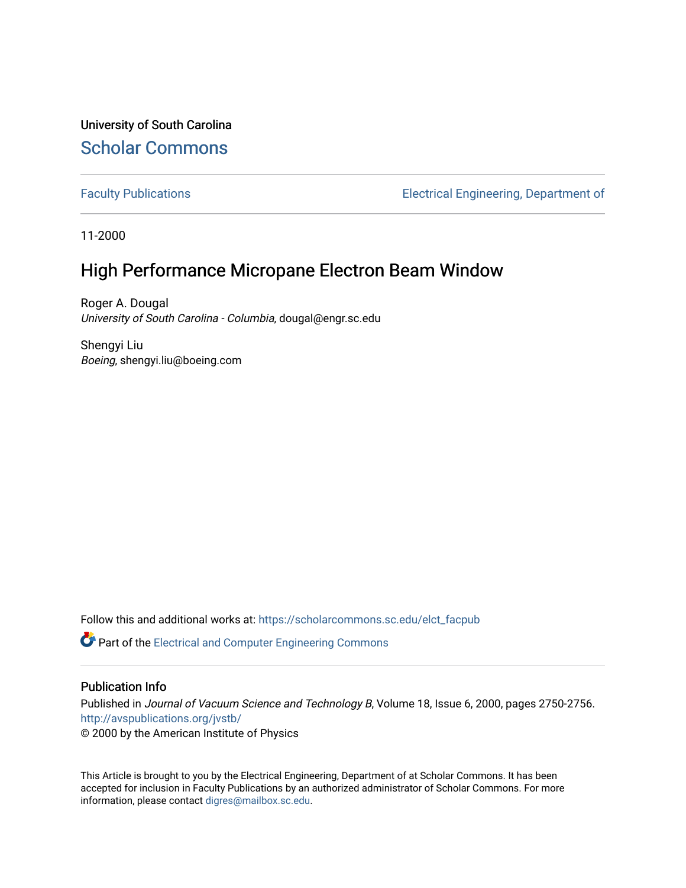University of South Carolina [Scholar Commons](https://scholarcommons.sc.edu/) 

[Faculty Publications](https://scholarcommons.sc.edu/elct_facpub) [Electrical Engineering, Department of](https://scholarcommons.sc.edu/elct) 

11-2000

# High Performance Micropane Electron Beam Window

Roger A. Dougal University of South Carolina - Columbia, dougal@engr.sc.edu

Shengyi Liu Boeing, shengyi.liu@boeing.com

Follow this and additional works at: [https://scholarcommons.sc.edu/elct\\_facpub](https://scholarcommons.sc.edu/elct_facpub?utm_source=scholarcommons.sc.edu%2Felct_facpub%2F4&utm_medium=PDF&utm_campaign=PDFCoverPages) 

**C** Part of the Electrical and Computer Engineering Commons

### Publication Info

Published in Journal of Vacuum Science and Technology B, Volume 18, Issue 6, 2000, pages 2750-2756. <http://avspublications.org/jvstb/>

© 2000 by the American Institute of Physics

This Article is brought to you by the Electrical Engineering, Department of at Scholar Commons. It has been accepted for inclusion in Faculty Publications by an authorized administrator of Scholar Commons. For more information, please contact [digres@mailbox.sc.edu.](mailto:digres@mailbox.sc.edu)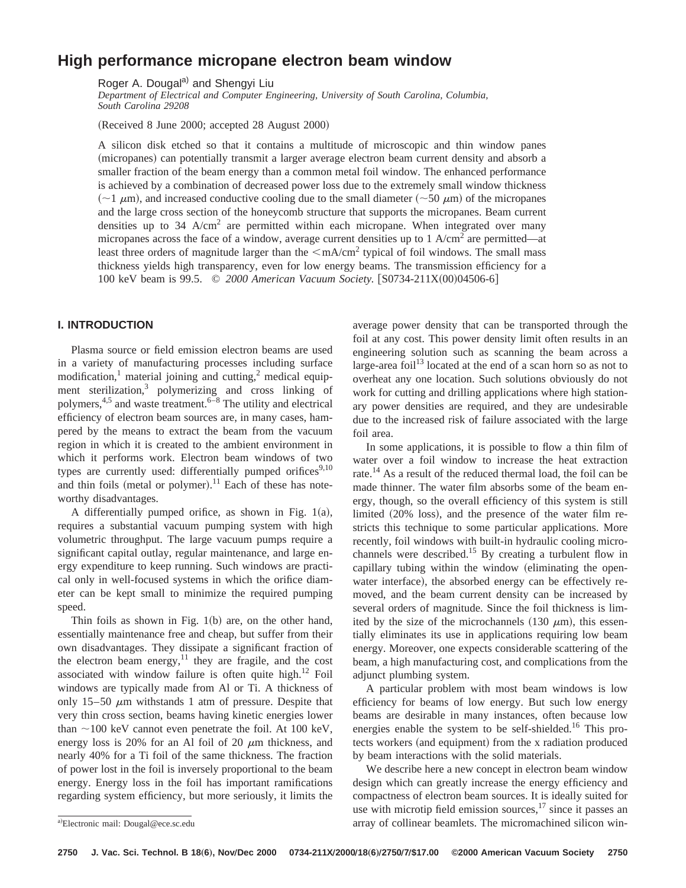## **High performance micropane electron beam window**

Roger A. Dougal<sup>a)</sup> and Shengyi Liu

*Department of Electrical and Computer Engineering, University of South Carolina, Columbia, South Carolina 29208*

(Received 8 June 2000; accepted 28 August 2000)

A silicon disk etched so that it contains a multitude of microscopic and thin window panes (micropanes) can potentially transmit a larger average electron beam current density and absorb a smaller fraction of the beam energy than a common metal foil window. The enhanced performance is achieved by a combination of decreased power loss due to the extremely small window thickness  $~(-1 \mu m)$ , and increased conductive cooling due to the small diameter  $~(-50 \mu m)$  of the micropanes and the large cross section of the honeycomb structure that supports the micropanes. Beam current densities up to  $34$  A/cm<sup>2</sup> are permitted within each micropane. When integrated over many micropanes across the face of a window, average current densities up to 1  $A/cm<sup>2</sup>$  are permitted—at least three orders of magnitude larger than the  $\langle mA/cm^2$  typical of foil windows. The small mass thickness yields high transparency, even for low energy beams. The transmission efficiency for a 100 keV beam is 99.5. © 2000 American Vacuum Society. [S0734-211X(00)04506-6]

#### **I. INTRODUCTION**

Plasma source or field emission electron beams are used in a variety of manufacturing processes including surface modification,<sup>1</sup> material joining and cutting,<sup>2</sup> medical equipment sterilization,<sup>3</sup> polymerizing and cross linking of polymers,<sup>4,5</sup> and waste treatment.<sup>6–8</sup> The utility and electrical efficiency of electron beam sources are, in many cases, hampered by the means to extract the beam from the vacuum region in which it is created to the ambient environment in which it performs work. Electron beam windows of two types are currently used: differentially pumped orifices<sup>9,10</sup> and thin foils (metal or polymer).<sup>11</sup> Each of these has noteworthy disadvantages.

A differentially pumped orifice, as shown in Fig.  $1(a)$ , requires a substantial vacuum pumping system with high volumetric throughput. The large vacuum pumps require a significant capital outlay, regular maintenance, and large energy expenditure to keep running. Such windows are practical only in well-focused systems in which the orifice diameter can be kept small to minimize the required pumping speed.

Thin foils as shown in Fig.  $1(b)$  are, on the other hand, essentially maintenance free and cheap, but suffer from their own disadvantages. They dissipate a significant fraction of the electron beam energy, $11$  they are fragile, and the cost associated with window failure is often quite high. $^{12}$  Foil windows are typically made from Al or Ti. A thickness of only 15–50  $\mu$ m withstands 1 atm of pressure. Despite that very thin cross section, beams having kinetic energies lower than  $\sim$ 100 keV cannot even penetrate the foil. At 100 keV, energy loss is 20% for an Al foil of 20  $\mu$ m thickness, and nearly 40% for a Ti foil of the same thickness. The fraction of power lost in the foil is inversely proportional to the beam energy. Energy loss in the foil has important ramifications regarding system efficiency, but more seriously, it limits the average power density that can be transported through the foil at any cost. This power density limit often results in an engineering solution such as scanning the beam across a large-area foil<sup>13</sup> located at the end of a scan horn so as not to overheat any one location. Such solutions obviously do not work for cutting and drilling applications where high stationary power densities are required, and they are undesirable due to the increased risk of failure associated with the large foil area.

In some applications, it is possible to flow a thin film of water over a foil window to increase the heat extraction rate.<sup>14</sup> As a result of the reduced thermal load, the foil can be made thinner. The water film absorbs some of the beam energy, though, so the overall efficiency of this system is still limited  $(20\%$  loss), and the presence of the water film restricts this technique to some particular applications. More recently, foil windows with built-in hydraulic cooling microchannels were described.<sup>15</sup> By creating a turbulent flow in capillary tubing within the window (eliminating the openwater interface), the absorbed energy can be effectively removed, and the beam current density can be increased by several orders of magnitude. Since the foil thickness is limited by the size of the microchannels (130  $\mu$ m), this essentially eliminates its use in applications requiring low beam energy. Moreover, one expects considerable scattering of the beam, a high manufacturing cost, and complications from the adjunct plumbing system.

A particular problem with most beam windows is low efficiency for beams of low energy. But such low energy beams are desirable in many instances, often because low energies enable the system to be self-shielded.<sup>16</sup> This protects workers (and equipment) from the x radiation produced by beam interactions with the solid materials.

We describe here a new concept in electron beam window design which can greatly increase the energy efficiency and compactness of electron beam sources. It is ideally suited for use with microtip field emission sources, $17 \text{ since it passes an}$ array of collinear beamlets. The micromachined silicon win-

a)Electronic mail: Dougal@ece.sc.edu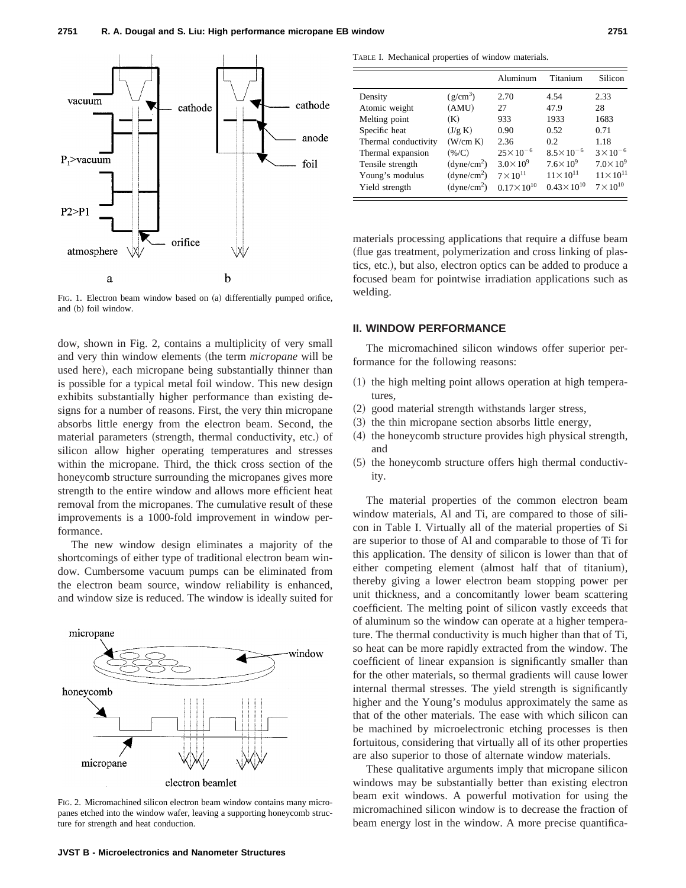

FIG. 1. Electron beam window based on (a) differentially pumped orifice, and (b) foil window.

dow, shown in Fig. 2, contains a multiplicity of very small and very thin window elements (the term *micropane* will be used here), each micropane being substantially thinner than is possible for a typical metal foil window. This new design exhibits substantially higher performance than existing designs for a number of reasons. First, the very thin micropane absorbs little energy from the electron beam. Second, the material parameters (strength, thermal conductivity, etc.) of silicon allow higher operating temperatures and stresses within the micropane. Third, the thick cross section of the honeycomb structure surrounding the micropanes gives more strength to the entire window and allows more efficient heat removal from the micropanes. The cumulative result of these improvements is a 1000-fold improvement in window performance.

The new window design eliminates a majority of the shortcomings of either type of traditional electron beam window. Cumbersome vacuum pumps can be eliminated from the electron beam source, window reliability is enhanced, and window size is reduced. The window is ideally suited for



FIG. 2. Micromachined silicon electron beam window contains many micropanes etched into the window wafer, leaving a supporting honeycomb structure for strength and heat conduction.

TABLE I. Mechanical properties of window materials.

|                      |                            | Aluminum              | Titanium              | Silicon            |
|----------------------|----------------------------|-----------------------|-----------------------|--------------------|
| Density              | $(g/cm^3)$                 | 2.70                  | 4.54                  | 2.33               |
| Atomic weight        | (AMU)                      | 27                    | 47.9                  | 28                 |
| Melting point        | (K)                        | 933                   | 1933                  | 1683               |
| Specific heat        | (J/g K)                    | 0.90                  | 0.52                  | 0.71               |
| Thermal conductivity | (W/cm K)                   | 2.36                  | 0.2                   | 1.18               |
| Thermal expansion    | (% /C)                     | $25 \times 10^{-6}$   | $8.5 \times 10^{-6}$  | $3 \times 10^{-6}$ |
| Tensile strength     | (dyne/cm <sup>2</sup> )    | $3.0 \times 10^{9}$   | $7.6\times10^9$       | $7.0\times10^9$    |
| Young's modulus      | $(d$ yne/cm <sup>2</sup> ) | $7 \times 10^{11}$    | $11 \times 10^{11}$   | $11\times10^{11}$  |
| Yield strength       | (dyne/cm <sup>2</sup> )    | $0.17 \times 10^{10}$ | $0.43 \times 10^{10}$ | $7\times10^{10}$   |

materials processing applications that require a diffuse beam (flue gas treatment, polymerization and cross linking of plastics, etc.), but also, electron optics can be added to produce a focused beam for pointwise irradiation applications such as welding.

#### **II. WINDOW PERFORMANCE**

The micromachined silicon windows offer superior performance for the following reasons:

- $(1)$  the high melting point allows operation at high temperatures,
- (2) good material strength withstands larger stress,
- $(3)$  the thin micropane section absorbs little energy,
- (4) the honeycomb structure provides high physical strength, and
- $(5)$  the honeycomb structure offers high thermal conductivity.

The material properties of the common electron beam window materials, Al and Ti, are compared to those of silicon in Table I. Virtually all of the material properties of Si are superior to those of Al and comparable to those of Ti for this application. The density of silicon is lower than that of either competing element (almost half that of titanium), thereby giving a lower electron beam stopping power per unit thickness, and a concomitantly lower beam scattering coefficient. The melting point of silicon vastly exceeds that of aluminum so the window can operate at a higher temperature. The thermal conductivity is much higher than that of Ti, so heat can be more rapidly extracted from the window. The coefficient of linear expansion is significantly smaller than for the other materials, so thermal gradients will cause lower internal thermal stresses. The yield strength is significantly higher and the Young's modulus approximately the same as that of the other materials. The ease with which silicon can be machined by microelectronic etching processes is then fortuitous, considering that virtually all of its other properties are also superior to those of alternate window materials.

These qualitative arguments imply that micropane silicon windows may be substantially better than existing electron beam exit windows. A powerful motivation for using the micromachined silicon window is to decrease the fraction of beam energy lost in the window. A more precise quantifica-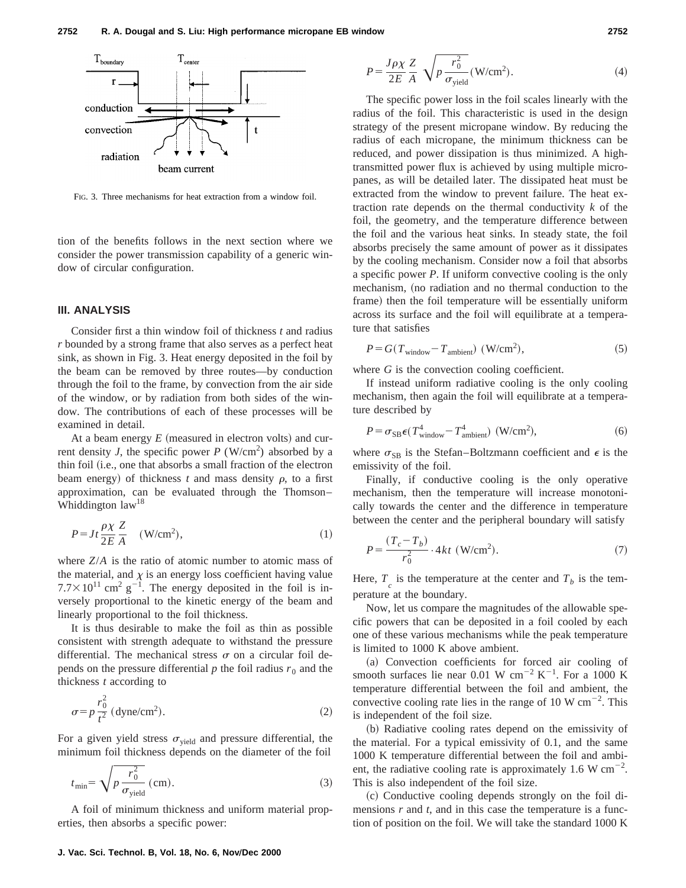

FIG. 3. Three mechanisms for heat extraction from a window foil.

tion of the benefits follows in the next section where we consider the power transmission capability of a generic window of circular configuration.

#### **III. ANALYSIS**

Consider first a thin window foil of thickness *t* and radius *r* bounded by a strong frame that also serves as a perfect heat sink, as shown in Fig. 3. Heat energy deposited in the foil by the beam can be removed by three routes—by conduction through the foil to the frame, by convection from the air side of the window, or by radiation from both sides of the window. The contributions of each of these processes will be examined in detail.

At a beam energy  $E$  (measured in electron volts) and current density *J*, the specific power  $P (W/cm^2)$  absorbed by a thin foil (i.e., one that absorbs a small fraction of the electron beam energy) of thickness  $t$  and mass density  $\rho$ , to a first approximation, can be evaluated through the Thomson– Whiddington law<sup>18</sup>

$$
P = Jt \frac{\rho \chi}{2E} \frac{Z}{A} \quad (\text{W/cm}^2), \tag{1}
$$

where *Z*/*A* is the ratio of atomic number to atomic mass of the material, and  $\chi$  is an energy loss coefficient having value  $7.7 \times 10^{11}$  cm<sup>2</sup> g<sup>-1</sup>. The energy deposited in the foil is inversely proportional to the kinetic energy of the beam and linearly proportional to the foil thickness.

It is thus desirable to make the foil as thin as possible consistent with strength adequate to withstand the pressure differential. The mechanical stress  $\sigma$  on a circular foil depends on the pressure differential  $p$  the foil radius  $r_0$  and the thickness *t* according to

$$
\sigma = p \frac{r_0^2}{t^2} \left( \text{dyne/cm}^2 \right). \tag{2}
$$

For a given yield stress  $\sigma_{yield}$  and pressure differential, the minimum foil thickness depends on the diameter of the foil

$$
t_{\min} = \sqrt{p \frac{r_0^2}{\sigma_{\text{yield}}}} \text{ (cm)}.
$$
 (3)

A foil of minimum thickness and uniform material properties, then absorbs a specific power:

$$
P = \frac{J\rho\chi}{2E} \frac{Z}{A} \sqrt{p \frac{r_0^2}{\sigma_{\text{yield}}}} (\text{W/cm}^2). \tag{4}
$$

The specific power loss in the foil scales linearly with the radius of the foil. This characteristic is used in the design strategy of the present micropane window. By reducing the radius of each micropane, the minimum thickness can be reduced, and power dissipation is thus minimized. A hightransmitted power flux is achieved by using multiple micropanes, as will be detailed later. The dissipated heat must be extracted from the window to prevent failure. The heat extraction rate depends on the thermal conductivity *k* of the foil, the geometry, and the temperature difference between the foil and the various heat sinks. In steady state, the foil absorbs precisely the same amount of power as it dissipates by the cooling mechanism. Consider now a foil that absorbs a specific power *P*. If uniform convective cooling is the only mechanism, (no radiation and no thermal conduction to the frame) then the foil temperature will be essentially uniform across its surface and the foil will equilibrate at a temperature that satisfies

$$
P = G(T_{window} - T_{ambient}) (W/cm2),
$$
 (5)

where *G* is the convection cooling coefficient.

If instead uniform radiative cooling is the only cooling mechanism, then again the foil will equilibrate at a temperature described by

$$
P = \sigma_{SB} \epsilon (T_{window}^4 - T_{ambient}^4) \text{ (W/cm}^2), \tag{6}
$$

where  $\sigma_{SB}$  is the Stefan–Boltzmann coefficient and  $\epsilon$  is the emissivity of the foil.

Finally, if conductive cooling is the only operative mechanism, then the temperature will increase monotonically towards the center and the difference in temperature between the center and the peripheral boundary will satisfy

$$
P = \frac{(T_c - T_b)}{r_0^2} \cdot 4kt \text{ (W/cm}^2). \tag{7}
$$

Here,  $T_c$  is the temperature at the center and  $T_b$  is the temperature at the boundary.

Now, let us compare the magnitudes of the allowable specific powers that can be deposited in a foil cooled by each one of these various mechanisms while the peak temperature is limited to 1000 K above ambient.

(a) Convection coefficients for forced air cooling of smooth surfaces lie near 0.01 W cm<sup>-2</sup> K<sup>-1</sup>. For a 1000 K temperature differential between the foil and ambient, the convective cooling rate lies in the range of 10 W  $\text{cm}^{-2}$ . This is independent of the foil size.

(b) Radiative cooling rates depend on the emissivity of the material. For a typical emissivity of 0.1, and the same 1000 K temperature differential between the foil and ambient, the radiative cooling rate is approximately 1.6 W  $cm^{-2}$ . This is also independent of the foil size.

~c! Conductive cooling depends strongly on the foil dimensions *r* and *t*, and in this case the temperature is a function of position on the foil. We will take the standard 1000 K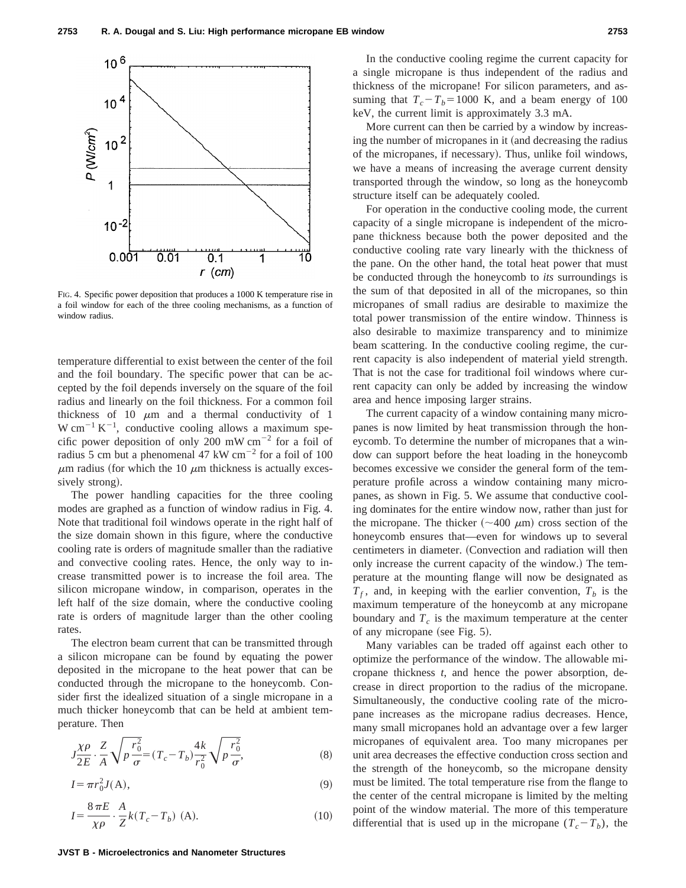

FIG. 4. Specific power deposition that produces a 1000 K temperature rise in a foil window for each of the three cooling mechanisms, as a function of window radius.

temperature differential to exist between the center of the foil and the foil boundary. The specific power that can be accepted by the foil depends inversely on the square of the foil radius and linearly on the foil thickness. For a common foil thickness of 10  $\mu$ m and a thermal conductivity of 1 W cm<sup>-1</sup> K<sup>-1</sup>, conductive cooling allows a maximum specific power deposition of only 200 mW  $cm^{-2}$  for a foil of radius 5 cm but a phenomenal 47 kW cm<sup> $-2$ </sup> for a foil of 100  $\mu$ m radius (for which the 10  $\mu$ m thickness is actually excessively strong).

The power handling capacities for the three cooling modes are graphed as a function of window radius in Fig. 4. Note that traditional foil windows operate in the right half of the size domain shown in this figure, where the conductive cooling rate is orders of magnitude smaller than the radiative and convective cooling rates. Hence, the only way to increase transmitted power is to increase the foil area. The silicon micropane window, in comparison, operates in the left half of the size domain, where the conductive cooling rate is orders of magnitude larger than the other cooling rates.

The electron beam current that can be transmitted through a silicon micropane can be found by equating the power deposited in the micropane to the heat power that can be conducted through the micropane to the honeycomb. Consider first the idealized situation of a single micropane in a much thicker honeycomb that can be held at ambient temperature. Then

$$
J_{2E}^{\chi\rho} \cdot \frac{Z}{A} \sqrt{p \frac{r_0^2}{\sigma}} = (T_c - T_b) \frac{4k}{r_0^2} \sqrt{p \frac{r_0^2}{\sigma}},
$$
 (8)

$$
I = \pi r_0^2 J(A),\tag{9}
$$

$$
I = \frac{8\,\pi E}{\chi \rho} \cdot \frac{A}{Z} k(T_c - T_b) \text{ (A)}.
$$
 (10)

In the conductive cooling regime the current capacity for a single micropane is thus independent of the radius and thickness of the micropane! For silicon parameters, and assuming that  $T_c - T_b = 1000$  K, and a beam energy of 100 keV, the current limit is approximately 3.3 mA.

More current can then be carried by a window by increasing the number of micropanes in it (and decreasing the radius of the micropanes, if necessary). Thus, unlike foil windows, we have a means of increasing the average current density transported through the window, so long as the honeycomb structure itself can be adequately cooled.

For operation in the conductive cooling mode, the current capacity of a single micropane is independent of the micropane thickness because both the power deposited and the conductive cooling rate vary linearly with the thickness of the pane. On the other hand, the total heat power that must be conducted through the honeycomb to *its* surroundings is the sum of that deposited in all of the micropanes, so thin micropanes of small radius are desirable to maximize the total power transmission of the entire window. Thinness is also desirable to maximize transparency and to minimize beam scattering. In the conductive cooling regime, the current capacity is also independent of material yield strength. That is not the case for traditional foil windows where current capacity can only be added by increasing the window area and hence imposing larger strains.

The current capacity of a window containing many micropanes is now limited by heat transmission through the honeycomb. To determine the number of micropanes that a window can support before the heat loading in the honeycomb becomes excessive we consider the general form of the temperature profile across a window containing many micropanes, as shown in Fig. 5. We assume that conductive cooling dominates for the entire window now, rather than just for the micropane. The thicker  $({\sim}400 \mu m)$  cross section of the honeycomb ensures that—even for windows up to several centimeters in diameter. (Convection and radiation will then only increase the current capacity of the window.! The temperature at the mounting flange will now be designated as  $T_f$ , and, in keeping with the earlier convention,  $T_b$  is the maximum temperature of the honeycomb at any micropane boundary and  $T_c$  is the maximum temperature at the center of any micropane (see Fig. 5).

Many variables can be traded off against each other to optimize the performance of the window. The allowable micropane thickness *t*, and hence the power absorption, decrease in direct proportion to the radius of the micropane. Simultaneously, the conductive cooling rate of the micropane increases as the micropane radius decreases. Hence, many small micropanes hold an advantage over a few larger micropanes of equivalent area. Too many micropanes per unit area decreases the effective conduction cross section and the strength of the honeycomb, so the micropane density must be limited. The total temperature rise from the flange to the center of the central micropane is limited by the melting point of the window material. The more of this temperature differential that is used up in the micropane  $(T_c - T_b)$ , the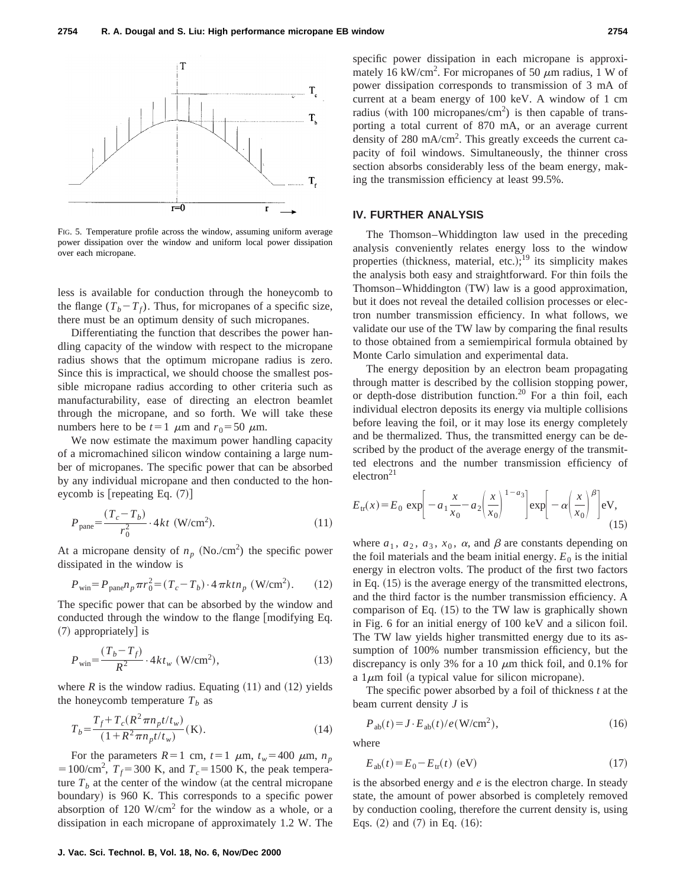

FIG. 5. Temperature profile across the window, assuming uniform average power dissipation over the window and uniform local power dissipation over each micropane.

less is available for conduction through the honeycomb to the flange  $(T_b - T_f)$ . Thus, for micropanes of a specific size, there must be an optimum density of such micropanes.

Differentiating the function that describes the power handling capacity of the window with respect to the micropane radius shows that the optimum micropane radius is zero. Since this is impractical, we should choose the smallest possible micropane radius according to other criteria such as manufacturability, ease of directing an electron beamlet through the micropane, and so forth. We will take these numbers here to be  $t=1$   $\mu$ m and  $r_0=50$   $\mu$ m.

We now estimate the maximum power handling capacity of a micromachined silicon window containing a large number of micropanes. The specific power that can be absorbed by any individual micropane and then conducted to the honeycomb is  $[repeating Eq. (7)]$ 

$$
P_{\text{panel}} = \frac{(T_c - T_b)}{r_0^2} \cdot 4kt \text{ (W/cm}^2). \tag{11}
$$

At a micropane density of  $n_p$  (No./cm<sup>2</sup>) the specific power dissipated in the window is

$$
P_{\text{win}} = P_{\text{panel}} n_p \pi r_0^2 = (T_c - T_b) \cdot 4 \pi k t n_p \text{ (W/cm}^2). \qquad (12)
$$

The specific power that can be absorbed by the window and conducted through the window to the flange  $\lceil$  modifying Eq.  $(7)$  appropriately is

$$
P_{\text{win}} = \frac{(T_b - T_f)}{R^2} \cdot 4kt_w \text{ (W/cm}^2),\tag{13}
$$

where  $R$  is the window radius. Equating  $(11)$  and  $(12)$  yields the honeycomb temperature  $T<sub>b</sub>$  as

$$
T_b = \frac{T_f + T_c(R^2 \pi n_p t / t_w)}{(1 + R^2 \pi n_p t / t_w)} \text{(K)}.
$$
 (14)

For the parameters  $R=1$  cm,  $t=1$   $\mu$ m,  $t_w=400$   $\mu$ m,  $n_p$ = 100/cm<sup>2</sup>,  $T_f$ = 300 K, and  $T_c$ = 1500 K, the peak temperature  $T_b$  at the center of the window (at the central micropane boundary) is 960 K. This corresponds to a specific power absorption of 120 W/cm<sup>2</sup> for the window as a whole, or a dissipation in each micropane of approximately 1.2 W. The specific power dissipation in each micropane is approximately 16 kW/cm<sup>2</sup>. For micropanes of 50  $\mu$ m radius, 1 W of power dissipation corresponds to transmission of 3 mA of current at a beam energy of 100 keV. A window of 1 cm radius (with 100 micropanes/cm<sup>2</sup>) is then capable of transporting a total current of 870 mA, or an average current density of 280 mA/cm<sup>2</sup>. This greatly exceeds the current capacity of foil windows. Simultaneously, the thinner cross section absorbs considerably less of the beam energy, making the transmission efficiency at least 99.5%.

#### **IV. FURTHER ANALYSIS**

The Thomson–Whiddington law used in the preceding analysis conveniently relates energy loss to the window properties (thickness, material, etc.);<sup>19</sup> its simplicity makes the analysis both easy and straightforward. For thin foils the Thomson–Whiddington (TW) law is a good approximation, but it does not reveal the detailed collision processes or electron number transmission efficiency. In what follows, we validate our use of the TW law by comparing the final results to those obtained from a semiempirical formula obtained by Monte Carlo simulation and experimental data.

The energy deposition by an electron beam propagating through matter is described by the collision stopping power, or depth-dose distribution function.20 For a thin foil, each individual electron deposits its energy via multiple collisions before leaving the foil, or it may lose its energy completely and be thermalized. Thus, the transmitted energy can be described by the product of the average energy of the transmitted electrons and the number transmission efficiency of  $e$ lectron<sup>21</sup>

$$
E_{\rm tr}(x) = E_0 \exp\left[-a_1 \frac{x}{x_0} - a_2 \left(\frac{x}{x_0}\right)^{1-a_3}\right] \exp\left[-\alpha \left(\frac{x}{x_0}\right)^{\beta}\right] \exp,
$$
\n(15)

where  $a_1$ ,  $a_2$ ,  $a_3$ ,  $x_0$ ,  $\alpha$ , and  $\beta$  are constants depending on the foil materials and the beam initial energy.  $E_0$  is the initial energy in electron volts. The product of the first two factors in Eq.  $(15)$  is the average energy of the transmitted electrons, and the third factor is the number transmission efficiency. A comparison of Eq.  $(15)$  to the TW law is graphically shown in Fig. 6 for an initial energy of 100 keV and a silicon foil. The TW law yields higher transmitted energy due to its assumption of 100% number transmission efficiency, but the discrepancy is only 3% for a 10  $\mu$ m thick foil, and 0.1% for a  $1\mu$ m foil (a typical value for silicon micropane).

The specific power absorbed by a foil of thickness *t* at the beam current density *J* is

$$
P_{\text{ab}}(t) = J \cdot E_{\text{ab}}(t) / e(\text{W/cm}^2),\tag{16}
$$

where

$$
E_{ab}(t) = E_0 - E_{\text{tr}}(t) \text{ (eV)}\tag{17}
$$

is the absorbed energy and *e* is the electron charge. In steady state, the amount of power absorbed is completely removed by conduction cooling, therefore the current density is, using Eqs.  $(2)$  and  $(7)$  in Eq.  $(16)$ :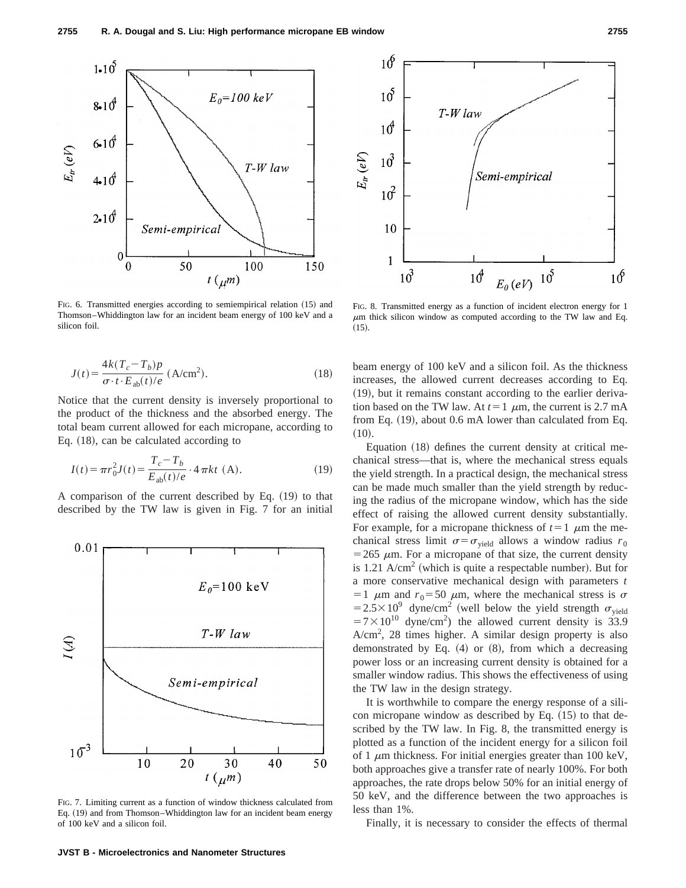

FIG. 6. Transmitted energies according to semiempirical relation (15) and Thomson–Whiddington law for an incident beam energy of 100 keV and a silicon foil.

$$
J(t) = \frac{4k(T_c - T_b)p}{\sigma \cdot t \cdot E_{ab}(t)/e} \text{ (A/cm2)}.
$$
 (18)

Notice that the current density is inversely proportional to the product of the thickness and the absorbed energy. The total beam current allowed for each micropane, according to Eq.  $(18)$ , can be calculated according to

$$
I(t) = \pi r_0^2 J(t) = \frac{T_c - T_b}{E_{ab}(t)/e} \cdot 4 \pi kt \text{ (A)}.
$$
 (19)

A comparison of the current described by Eq.  $(19)$  to that described by the TW law is given in Fig. 7 for an initial



FIG. 7. Limiting current as a function of window thickness calculated from Eq. (19) and from Thomson–Whiddington law for an incident beam energy of 100 keV and a silicon foil.



FIG. 8. Transmitted energy as a function of incident electron energy for 1  $\mu$ m thick silicon window as computed according to the TW law and Eq.  $(15).$ 

beam energy of 100 keV and a silicon foil. As the thickness increases, the allowed current decreases according to Eq.  $(19)$ , but it remains constant according to the earlier derivation based on the TW law. At  $t=1$   $\mu$ m, the current is 2.7 mA from Eq.  $(19)$ , about 0.6 mA lower than calculated from Eq.  $(10).$ 

Equation  $(18)$  defines the current density at critical mechanical stress—that is, where the mechanical stress equals the yield strength. In a practical design, the mechanical stress can be made much smaller than the yield strength by reducing the radius of the micropane window, which has the side effect of raising the allowed current density substantially. For example, for a micropane thickness of  $t=1$   $\mu$ m the mechanical stress limit  $\sigma = \sigma_{\text{yield}}$  allows a window radius  $r_0$  $=$  265  $\mu$ m. For a micropane of that size, the current density is 1.21  $A/cm<sup>2</sup>$  (which is quite a respectable number). But for a more conservative mechanical design with parameters *t* =1  $\mu$ m and  $r_0$ =50  $\mu$ m, where the mechanical stress is  $\sigma$  $=2.5\times10^{9}$  dyne/cm<sup>2</sup> (well below the yield strength  $\sigma_{\text{yield}}$  $=7\times10^{10}$  dyne/cm<sup>2</sup>) the allowed current density is 33.9 A/cm<sup>2</sup>, 28 times higher. A similar design property is also demonstrated by Eq.  $(4)$  or  $(8)$ , from which a decreasing power loss or an increasing current density is obtained for a smaller window radius. This shows the effectiveness of using the TW law in the design strategy.

It is worthwhile to compare the energy response of a silicon micropane window as described by Eq.  $(15)$  to that described by the TW law. In Fig. 8, the transmitted energy is plotted as a function of the incident energy for a silicon foil of 1  $\mu$ m thickness. For initial energies greater than 100 keV, both approaches give a transfer rate of nearly 100%. For both approaches, the rate drops below 50% for an initial energy of 50 keV, and the difference between the two approaches is less than 1%.

Finally, it is necessary to consider the effects of thermal